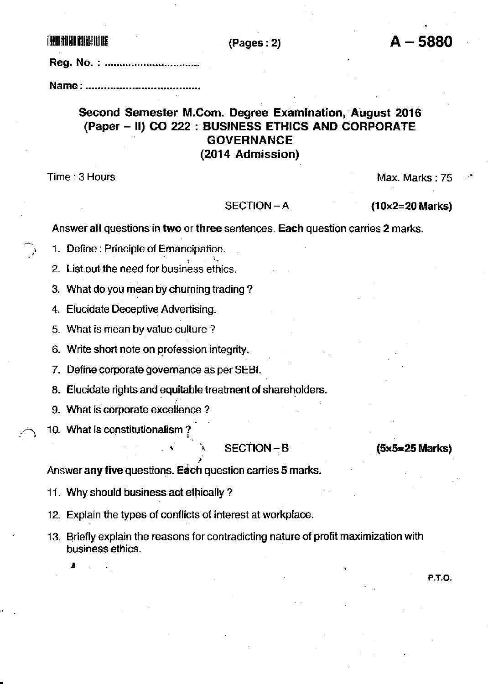**THE RIBILITY OF THE TWO REAL PROPERTY** 

## $(Pages: 2)$

Name: ...............................

# Second Semester M.Com. Degree Examination, August 2016 (Paper – II) CO 222 : BUSINESS ETHICS AND CORPORATE **GOVERNANCE** (2014 Admission)

Time: 3 Hours

Max. Marks: 75

#### $SECTION - A$

 $(10\times2=20$  Marks)

Answer all questions in two or three sentences. Each question carries 2 marks.

1. Define: Principle of Emancipation.

2. List out the need for business ethics.

3. What do you mean by churning trading?

4. Elucidate Deceptive Advertising.

5. What is mean by value culture?

6. Write short note on profession integrity.

7. Define corporate governance as per SEBI.

8. Elucidate rights and equitable treatment of shareholders.

9. What is corporate excellence?

10. What is constitutionalism?

## SECTION-B

## (5x5=25 Marks)

**P.T.O.** 

Answer any five questions. Each question carries 5 marks.

11. Why should business act ethically?

12. Explain the types of conflicts of interest at workplace.

13. Briefly explain the reasons for contradicting nature of profit maximization with business ethics.